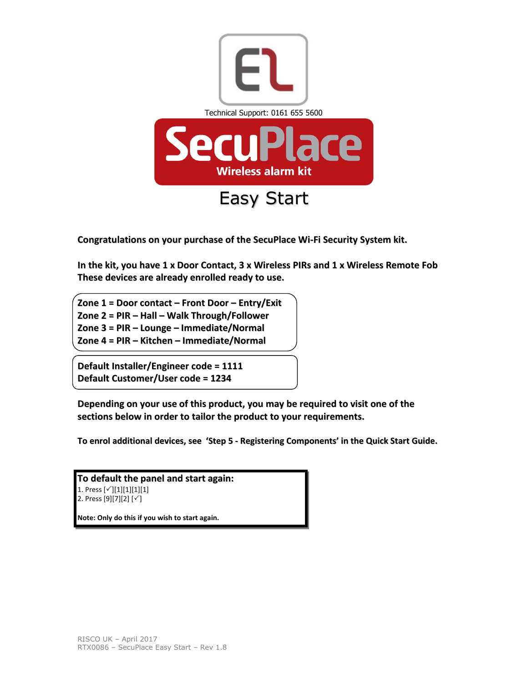

Congratulations on your purchase of the SecuPlace Wi-Fi Security System kit.

In the kit, you have 1 x Door Contact, 3 x Wireless PIRs and 1 x Wireless Remote Fob These devices are already enrolled ready to use.

Zone 1 = Door contact – Front Door – Entry/Exit Zone 2 = PIR – Hall – Walk Through/Follower Zone 3 = PIR – Lounge – Immediate/Normal Zone 4 = PIR – Kitchen – Immediate/Normal

Default Installer/Engineer code = 1111 Default Customer/User code = 1234

Depending on your use of this product, you may be required to visit one of the sections below in order to tailor the product to your requirements.

To enrol additional devices, see 'Step 5 - Registering Components' in the Quick Start Guide.

To default the panel and start again: 1. Press  $[\checkmark][1][1][1][1]$ 2. Press  $[9][7][2] [\checkmark]$ Note: Only do this if you wish to start again.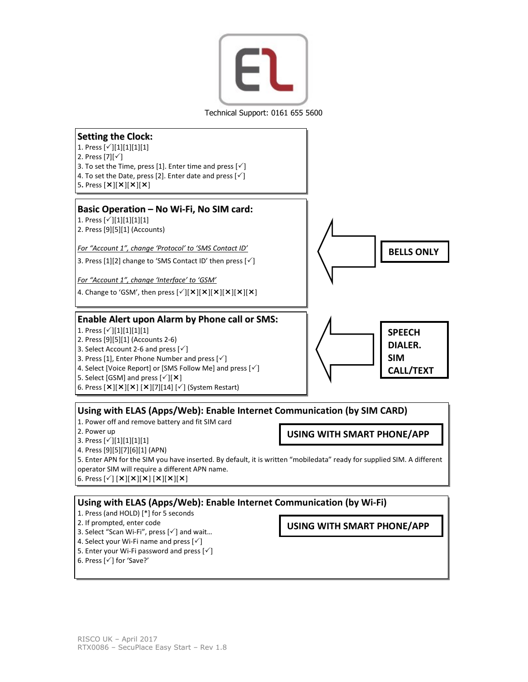

Technical Support: 0161 655 5600



Using with ELAS (Apps/Web): Enable Internet Communication (by SIM CARD) 1. Power off and remove battery and fit SIM card

- 2. Power up
- 
- 3. Press  $[\checkmark][1][1][1][1]$ 4. Press [9][5][7][6][1] (APN)
- 5. Enter APN for the SIM you have inserted. By default, it is written "mobiledata" ready for supplied SIM. A different operator SIM will require a different APN name.
- 6. Press  $[\check{ } ] [ \times ] [ \times ] [ \times ] [ \times ] [ \times ] [ \times ]$

Using with ELAS (Apps/Web): Enable Internet Communication (by Wi-Fi)

- 1. Press (and HOLD) [\*] for 5 seconds
- 2. If prompted, enter code
- 3. Select "Scan Wi-Fi", press  $[\checkmark]$  and wait...
- 4. Select your Wi-Fi name and press  $[\checkmark]$
- 5. Enter your Wi-Fi password and press  $\lceil \sqrt{\cdot} \rceil$

USING WITH SMART PHONE/APP

USING WITH SMART PHONE/APP

<sup>6.</sup> Press  $[\checkmark]$  for 'Save?'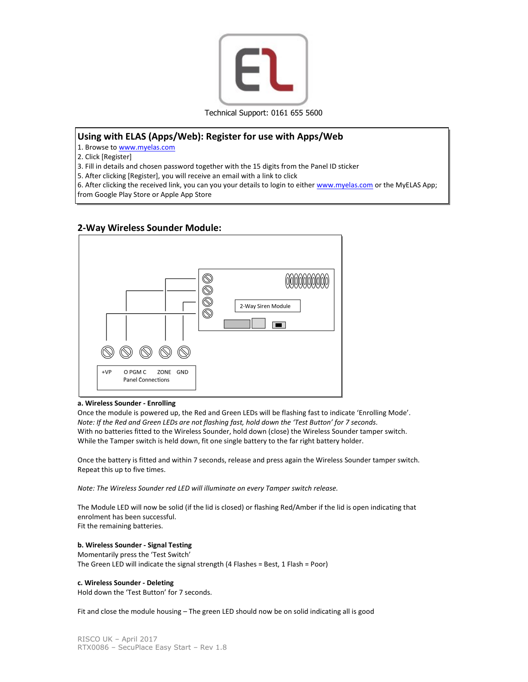

# Using with ELAS (Apps/Web): Register for use with Apps/Web

1. Browse to www.myelas.com

2. Click [Register]

3. Fill in details and chosen password together with the 15 digits from the Panel ID sticker

5. After clicking [Register], you will receive an email with a link to click

6. After clicking the received link, you can you your details to login to either www.myelas.com or the MyELAS App; from Google Play Store or Apple App Store

# 2-Way Wireless Sounder Module:



### a. Wireless Sounder - Enrolling

Once the module is powered up, the Red and Green LEDs will be flashing fast to indicate 'Enrolling Mode'. Note: If the Red and Green LEDs are not flashing fast, hold down the 'Test Button' for 7 seconds. With no batteries fitted to the Wireless Sounder, hold down (close) the Wireless Sounder tamper switch. While the Tamper switch is held down, fit one single battery to the far right battery holder.

Once the battery is fitted and within 7 seconds, release and press again the Wireless Sounder tamper switch. Repeat this up to five times.

Note: The Wireless Sounder red LED will illuminate on every Tamper switch release.

The Module LED will now be solid (if the lid is closed) or flashing Red/Amber if the lid is open indicating that enrolment has been successful. Fit the remaining batteries.

### b. Wireless Sounder - Signal Testing

Momentarily press the 'Test Switch' The Green LED will indicate the signal strength (4 Flashes = Best, 1 Flash = Poor)

### c. Wireless Sounder - Deleting

Hold down the 'Test Button' for 7 seconds.

Fit and close the module housing – The green LED should now be on solid indicating all is good